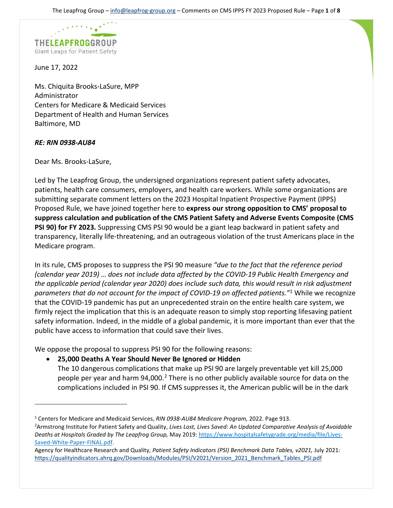

June 17, 2022

Ms. Chiquita Brooks-LaSure, MPP Administrator Centers for Medicare & Medicaid Services Department of Health and Human Services Baltimore, MD

# *RE: RIN 0938-AU84*

Dear Ms. Brooks-LaSure,

Led by The Leapfrog Group, the undersigned organizations represent patient safety advocates, patients, health care consumers, employers, and health care workers. While some organizations are submitting separate comment letters on the 2023 Hospital Inpatient Prospective Payment (IPPS) Proposed Rule, we have joined together here to **express our strong opposition to CMS' proposal to suppress calculation and publication of the CMS Patient Safety and Adverse Events Composite (CMS PSI 90) for FY 2023.** Suppressing CMS PSI 90 would be a giant leap backward in patient safety and transparency, literally life-threatening, and an outrageous violation of the trust Americans place in the Medicare program.

In its rule, CMS proposes to suppress the PSI 90 measure *"due to the fact that the reference period (calendar year 2019) … does not include data affected by the COVID-19 Public Health Emergency and the applicable period (calendar year 2020) does include such data, this would result in risk adjustment parameters that do not account for the impact of COVID-19 on affected patients."*[1](#page-0-0) While we recognize that the COVID-19 pandemic has put an unprecedented strain on the entire health care system, we firmly reject the implication that this is an adequate reason to simply stop reporting lifesaving patient safety information. Indeed, in the middle of a global pandemic, it is more important than ever that the public have access to information that could save their lives.

We oppose the proposal to suppress PSI 90 for the following reasons:

• **25,000 Deaths A Year Should Never Be Ignored or Hidden** 

The 10 dangerous complications that make up PSI 90 are largely preventable yet kill 25,000 people per year and harm 94,000.<sup>[2](#page-0-1)</sup> There is no other publicly available source for data on the complications included in PSI 90. If CMS suppresses it, the American public will be in the dark

<span id="page-0-0"></span><sup>1</sup> Centers for Medicare and Medicaid Services, *RIN 0938-AU84 Medicare Program,* 2022. Page 913.

<span id="page-0-1"></span><sup>2</sup> Armstrong Institute for Patient Safety and Quality, *Lives Lost, Lives Saved: An Updated Comparative Analysis of Avoidable Deaths at Hospitals Graded by The Leapfrog Group,* May 2019[: https://www.hospitalsafetygrade.org/media/file/Lives-](https://www.hospitalsafetygrade.org/media/file/Lives-Saved-White-Paper-FINAL.pdf)[Saved-White-Paper-FINAL.pdf.](https://www.hospitalsafetygrade.org/media/file/Lives-Saved-White-Paper-FINAL.pdf) 

Agency for Healthcare Research and Quality, *Patient Safety Indicators (PSI) Benchmark Data Tables, v2021,* July 2021: [https://qualityindicators.ahrq.gov/Downloads/Modules/PSI/V2021/Version\\_2021\\_Benchmark\\_Tables\\_PSI.pdf](https://qualityindicators.ahrq.gov/Downloads/Modules/PSI/V2021/Version_2021_Benchmark_Tables_PSI.pdf)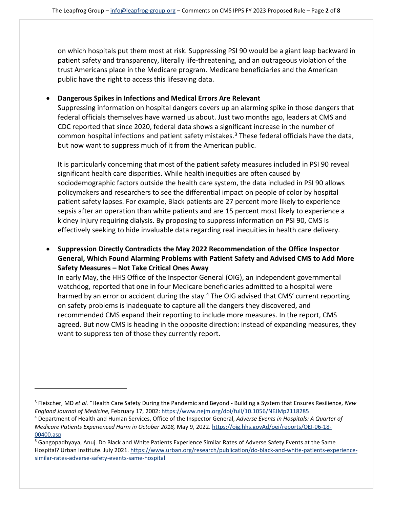on which hospitals put them most at risk. Suppressing PSI 90 would be a giant leap backward in patient safety and transparency, literally life-threatening, and an outrageous violation of the trust Americans place in the Medicare program. Medicare beneficiaries and the American public have the right to access this lifesaving data.

## • **Dangerous Spikes in Infections and Medical Errors Are Relevant**

Suppressing information on hospital dangers covers up an alarming spike in those dangers that federal officials themselves have warned us about. Just two months ago, leaders at CMS and CDC reported that since 2020, federal data shows a significant increase in the number of common hospital infections and patient safety mistakes. [3](#page-1-0) These federal officials have the data, but now want to suppress much of it from the American public.

It is particularly concerning that most of the patient safety measures included in PSI 90 reveal significant health care disparities. While health inequities are often caused by sociodemographic factors outside the health care system, the data included in PSI 90 allows policymakers and researchers to see the differential impact on people of color by hospital patient safety lapses. For example, Black patients are 27 percent more likely to experience sepsis after an operation than white patients and are 15 percent most likely to experience a kidney injury requiring dialysis. By proposing to suppress information on PSI 90, CMS is effectively seeking to hide invaluable data regarding real inequities in health care delivery.

• **Suppression Directly Contradicts the May 2022 Recommendation of the Office Inspector General, Which Found Alarming Problems with Patient Safety and Advised CMS to Add More Safety Measures – Not Take Critical Ones Away** 

In early May, the HHS Office of the Inspector General (OIG), an independent governmental watchdog, reported that one in four Medicare beneficiaries admitted to a hospital were harmed by an error or accident during the stay.<sup>[4](#page-1-1)</sup> The OIG advised that CMS' current reporting on safety problems is inadequate to capture all the dangers they discovered, and recommended CMS expand their reporting to include more measures. In the report, CMS agreed. But now CMS is heading in the opposite direction: instead of expanding measures, they want to suppress ten of those they currently report.

<span id="page-1-0"></span><sup>3</sup> Fleischer, MD *et al.* "Health Care Safety During the Pandemic and Beyond - Building a System that Ensures Resilience, *New*  England Journal of Medicine, February 17, 2002: https://www.nejm.org/doi/full/10.1056/NEJMp2118285<br><sup>4</sup> Department of Health and Human Services, Office of the Inspector General, Adverse Events in Hospitals: A Quarter of

<span id="page-1-1"></span>*Medicare Patients Experienced Harm in October 2018,* May 9, 2022. [https://oig.hhs.govAd/oei/reports/OEI-06-18-](https://oig.hhs.govad/oei/reports/OEI-06-18-00400.asp)

<sup>00400.</sup>asp<br><sup>5</sup> Gangopadhyaya, Anuj. Do Black and White Patients Experience Similar Rates of Adverse Safety Events at the Same Hospital? Urban Institute. July 2021. [https://www.urban.org/research/publication/do-black-and-white-patients-experience](https://www.urban.org/research/publication/do-black-and-white-patients-experience-similar-rates-adverse-safety-events-same-hospital)[similar-rates-adverse-safety-events-same-hospital](https://www.urban.org/research/publication/do-black-and-white-patients-experience-similar-rates-adverse-safety-events-same-hospital)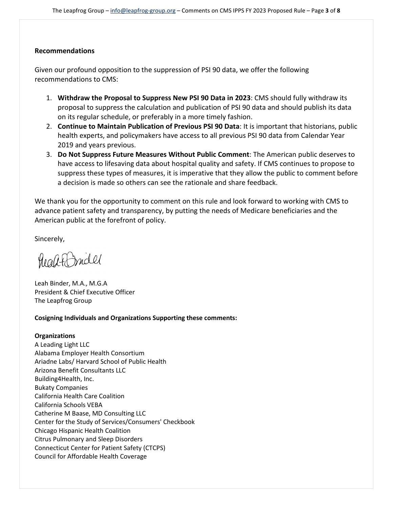## **Recommendations**

Given our profound opposition to the suppression of PSI 90 data, we offer the following recommendations to CMS:

- 1. **Withdraw the Proposal to Suppress New PSI 90 Data in 2023**: CMS should fully withdraw its proposal to suppress the calculation and publication of PSI 90 data and should publish its data on its regular schedule, or preferably in a more timely fashion.
- 2. **Continue to Maintain Publication of Previous PSI 90 Data**: It is important that historians, public health experts, and policymakers have access to all previous PSI 90 data from Calendar Year 2019 and years previous.
- 3. **Do Not Suppress Future Measures Without Public Comment**: The American public deserves to have access to lifesaving data about hospital quality and safety. If CMS continues to propose to suppress these types of measures, it is imperative that they allow the public to comment before a decision is made so others can see the rationale and share feedback.

We thank you for the opportunity to comment on this rule and look forward to working with CMS to advance patient safety and transparency, by putting the needs of Medicare beneficiaries and the American public at the forefront of policy.

Sincerely,

healt Indel

Leah Binder, M.A., M.G.A President & Chief Executive Officer The Leapfrog Group

### **Cosigning Individuals and Organizations Supporting these comments:**

## **Organizations**

A Leading Light LLC Alabama Employer Health Consortium Ariadne Labs/ Harvard School of Public Health Arizona Benefit Consultants LLC Building4Health, Inc. Bukaty Companies California Health Care Coalition California Schools VEBA Catherine M Baase, MD Consulting LLC Center for the Study of Services/Consumers' Checkbook Chicago Hispanic Health Coalition Citrus Pulmonary and Sleep Disorders Connecticut Center for Patient Safety (CTCPS) Council for Affordable Health Coverage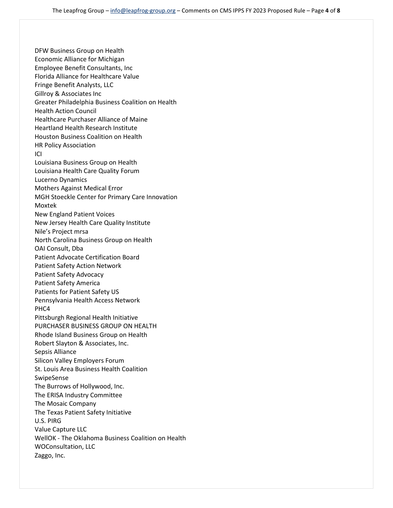DFW Business Group on Health Economic Alliance for Michigan Employee Benefit Consultants, Inc Florida Alliance for Healthcare Value Fringe Benefit Analysts, LLC Gillroy & Associates Inc Greater Philadelphia Business Coalition on Health Health Action Council Healthcare Purchaser Alliance of Maine Heartland Health Research Institute Houston Business Coalition on Health HR Policy Association ICI Louisiana Business Group on Health Louisiana Health Care Quality Forum Lucerno Dynamics Mothers Against Medical Error MGH Stoeckle Center for Primary Care Innovation Moxtek New England Patient Voices New Jersey Health Care Quality Institute Nile's Project mrsa North Carolina Business Group on Health OAI Consult, Dba Patient Advocate Certification Board Patient Safety Action Network Patient Safety Advocacy Patient Safety America Patients for Patient Safety US Pennsylvania Health Access Network PHC4 Pittsburgh Regional Health Initiative PURCHASER BUSINESS GROUP ON HEALTH Rhode Island Business Group on Health Robert Slayton & Associates, Inc. Sepsis Alliance Silicon Valley Employers Forum St. Louis Area Business Health Coalition SwipeSense The Burrows of Hollywood, Inc. The ERISA Industry Committee The Mosaic Company The Texas Patient Safety Initiative U.S. PIRG Value Capture LLC WellOK - The Oklahoma Business Coalition on Health WOConsultation, LLC Zaggo, Inc.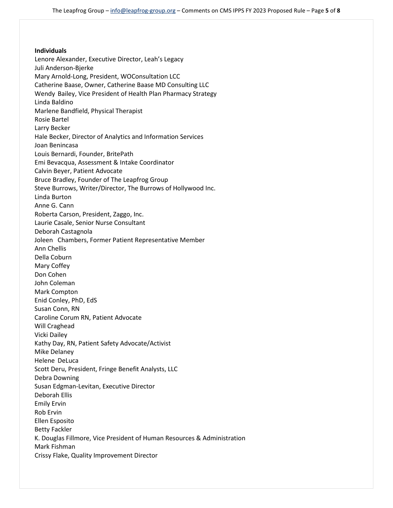#### **Individuals**

Lenore Alexander, Executive Director, Leah's Legacy Juli Anderson-Bjerke Mary Arnold-Long, President, WOConsultation LCC Catherine Baase, Owner, Catherine Baase MD Consulting LLC Wendy Bailey, Vice President of Health Plan Pharmacy Strategy Linda Baldino Marlene Bandfield, Physical Therapist Rosie Bartel Larry Becker Hale Becker, Director of Analytics and Information Services Joan Benincasa Louis Bernardi, Founder, BritePath Emi Bevacqua, Assessment & Intake Coordinator Calvin Beyer, Patient Advocate Bruce Bradley, Founder of The Leapfrog Group Steve Burrows, Writer/Director, The Burrows of Hollywood Inc. Linda Burton Anne G. Cann Roberta Carson, President, Zaggo, Inc. Laurie Casale, Senior Nurse Consultant Deborah Castagnola Joleen Chambers, Former Patient Representative Member Ann Chellis Della Coburn Mary Coffey Don Cohen John Coleman Mark Compton Enid Conley, PhD, EdS Susan Conn, RN Caroline Corum RN, Patient Advocate Will Craghead Vicki Dailey Kathy Day, RN, Patient Safety Advocate/Activist Mike Delaney Helene DeLuca Scott Deru, President, Fringe Benefit Analysts, LLC Debra Downing Susan Edgman-Levitan, Executive Director Deborah Ellis Emily Ervin Rob Ervin Ellen Esposito Betty Fackler K. Douglas Fillmore, Vice President of Human Resources & Administration Mark Fishman Crissy Flake, Quality Improvement Director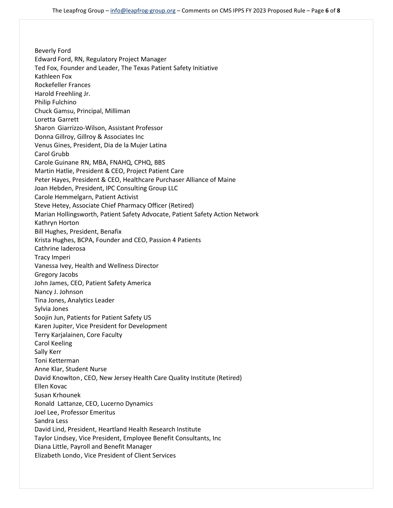Beverly Ford Edward Ford, RN, Regulatory Project Manager Ted Fox, Founder and Leader, The Texas Patient Safety Initiative Kathleen Fox Rockefeller Frances Harold Freehling Jr. Philip Fulchino Chuck Gamsu, Principal, Milliman Loretta Garrett Sharon Giarrizzo-Wilson, Assistant Professor Donna Gillroy, Gillroy & Associates Inc Venus Gines, President, Dia de la Mujer Latina Carol Grubb Carole Guinane RN, MBA, FNAHQ, CPHQ, BBS Martin Hatlie, President & CEO, Project Patient Care Peter Hayes, President & CEO, Healthcare Purchaser Alliance of Maine Joan Hebden, President, IPC Consulting Group LLC Carole Hemmelgarn, Patient Activist Steve Hetey, Associate Chief Pharmacy Officer (Retired) Marian Hollingsworth, Patient Safety Advocate, Patient Safety Action Network Kathryn Horton Bill Hughes, President, Benafix Krista Hughes, BCPA, Founder and CEO, Passion 4 Patients Cathrine Iaderosa Tracy Imperi Vanessa Ivey, Health and Wellness Director Gregory Jacobs John James, CEO, Patient Safety America Nancy J. Johnson Tina Jones, Analytics Leader Sylvia Jones Soojin Jun, Patients for Patient Safety US Karen Jupiter, Vice President for Development Terry Karjalainen, Core Faculty Carol Keeling Sally Kerr Toni Ketterman Anne Klar, Student Nurse David Knowlton, CEO, New Jersey Health Care Quality Institute (Retired) Ellen Kovac Susan Krhounek Ronald Lattanze, CEO, Lucerno Dynamics Joel Lee, Professor Emeritus Sandra Less David Lind, President, Heartland Health Research Institute Taylor Lindsey, Vice President, Employee Benefit Consultants, Inc Diana Little, Payroll and Benefit Manager Elizabeth Londo, Vice President of Client Services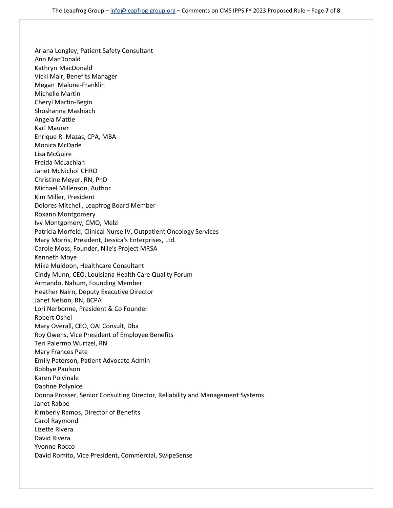Ariana Longley, Patient Safety Consultant Ann MacDonald Kathryn MacDonald Vicki Mair, Benefits Manager Megan Malone-Franklin Michelle Martin Cheryl Martin-Begin Shoshanna Mashiach Angela Mattie Karl Maurer Enrique R. Mazas, CPA, MBA Monica McDade Lisa McGuire Freida McLachlan Janet McNichol CHRO Christine Meyer, RN, PhD Michael Millenson, Author Kim Miller, President Dolores Mitchell, Leapfrog Board Member Roxann Montgomery Ivy Montgomery, CMO, Melzi Patricia Morfeld, Clinical Nurse IV, Outpatient Oncology Services Mary Morris, President, Jessica's Enterprises, Ltd. Carole Moss, Founder, Nile's Project MRSA Kenneth Moye Mike Muldoon, Healthcare Consultant Cindy Munn, CEO, Louisiana Health Care Quality Forum Armando, Nahum, Founding Member Heather Nairn, Deputy Executive Director Janet Nelson, RN, BCPA Lori Nerbonne, President & Co Founder Robert Oshel Mary Overall, CEO, OAI Consult, Dba Roy Owens, Vice President of Employee Benefits Teri Palermo Wurtzel, RN Mary Frances Pate Emily Paterson, Patient Advocate Admin Bobbye Paulson Karen Polvinale Daphne Polynice Donna Prosser, Senior Consulting Director, Reliability and Management Systems Janet Rabbe Kimberly Ramos, Director of Benefits Carol Raymond Lizette Rivera David Rivera Yvonne Rocco David Romito, Vice President, Commercial, SwipeSense